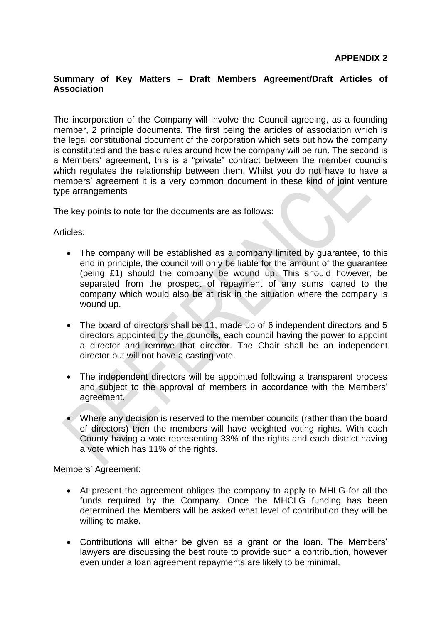## **Summary of Key Matters – Draft Members Agreement/Draft Articles of Association**

The incorporation of the Company will involve the Council agreeing, as a founding member, 2 principle documents. The first being the articles of association which is the legal constitutional document of the corporation which sets out how the company is constituted and the basic rules around how the company will be run. The second is a Members' agreement, this is a "private" contract between the member councils which regulates the relationship between them. Whilst you do not have to have a members' agreement it is a very common document in these kind of joint venture type arrangements

The key points to note for the documents are as follows:

Articles:

- The company will be established as a company limited by guarantee, to this end in principle, the council will only be liable for the amount of the guarantee (being £1) should the company be wound up. This should however, be separated from the prospect of repayment of any sums loaned to the company which would also be at risk in the situation where the company is wound up.
- The board of directors shall be 11, made up of 6 independent directors and 5 directors appointed by the councils, each council having the power to appoint a director and remove that director. The Chair shall be an independent director but will not have a casting vote.
- The independent directors will be appointed following a transparent process and subject to the approval of members in accordance with the Members' agreement.
- Where any decision is reserved to the member councils (rather than the board of directors) then the members will have weighted voting rights. With each County having a vote representing 33% of the rights and each district having a vote which has 11% of the rights.

Members' Agreement:

- At present the agreement obliges the company to apply to MHLG for all the funds required by the Company. Once the MHCLG funding has been determined the Members will be asked what level of contribution they will be willing to make.
- Contributions will either be given as a grant or the loan. The Members' lawyers are discussing the best route to provide such a contribution, however even under a loan agreement repayments are likely to be minimal.